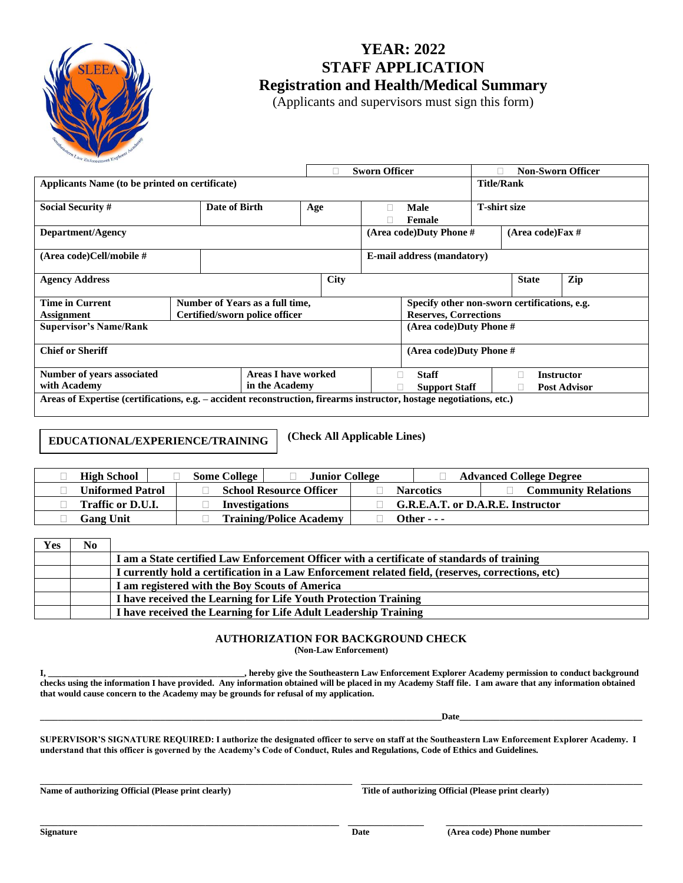

## **YEAR: 2022 STAFF APPLICATION Registration and Health/Medical Summary**

(Applicants and supervisors must sign this form)

|                                                                                                                      |               | <b>Sworn Officer</b> |             |                                                |                                                     | <b>Non-Sworn Officer</b> |                   |                   |  |
|----------------------------------------------------------------------------------------------------------------------|---------------|----------------------|-------------|------------------------------------------------|-----------------------------------------------------|--------------------------|-------------------|-------------------|--|
| Applicants Name (to be printed on certificate)                                                                       |               |                      |             |                                                |                                                     |                          | <b>Title/Rank</b> |                   |  |
| <b>Social Security #</b>                                                                                             | Date of Birth | Age                  |             |                                                | <b>T-shirt size</b><br><b>Male</b><br><b>Female</b> |                          |                   |                   |  |
| Department/Agency                                                                                                    |               |                      |             | (Area code)Duty Phone #<br>(Area code) Fax $#$ |                                                     |                          |                   |                   |  |
| (Area code)Cell/mobile #                                                                                             |               |                      |             | <b>E-mail address (mandatory)</b>              |                                                     |                          |                   |                   |  |
| <b>Agency Address</b>                                                                                                |               |                      | <b>City</b> | <b>State</b><br>Zip                            |                                                     |                          |                   |                   |  |
| <b>Time in Current</b><br>Number of Years as a full time,                                                            |               |                      |             | Specify other non-sworn certifications, e.g.   |                                                     |                          |                   |                   |  |
| Certified/sworn police officer<br><b>Assignment</b>                                                                  |               |                      |             | <b>Reserves, Corrections</b>                   |                                                     |                          |                   |                   |  |
| <b>Supervisor's Name/Rank</b>                                                                                        |               |                      |             |                                                | (Area code)Duty Phone #                             |                          |                   |                   |  |
| <b>Chief or Sheriff</b>                                                                                              |               |                      |             | (Area code)Duty Phone #                        |                                                     |                          |                   |                   |  |
| <b>Areas I have worked</b><br><b>Number of years associated</b>                                                      |               |                      |             | <b>Staff</b><br>П                              |                                                     |                          |                   | <b>Instructor</b> |  |
| with Academy<br>in the Academy                                                                                       |               |                      |             | <b>Post Advisor</b><br><b>Support Staff</b>    |                                                     |                          |                   |                   |  |
| Areas of Expertise (certifications, e.g. – accident reconstruction, firearms instructor, hostage negotiations, etc.) |               |                      |             |                                                |                                                     |                          |                   |                   |  |

## **EDUCATIONAL/EXPERIENCE/TRAINING**

**(Check All Applicable Lines)**

| <b>High School</b>      | <b>Junior College</b><br><b>Some College</b> |                                   | <b>Advanced College Degree</b> |  |
|-------------------------|----------------------------------------------|-----------------------------------|--------------------------------|--|
| <b>Uniformed Patrol</b> | <b>School Resource Officer</b>               | <b>Narcotics</b>                  | <b>Community Relations</b>     |  |
| Traffic or D.U.I.       | <b>Investigations</b>                        | G.R.E.A.T. or D.A.R.E. Instructor |                                |  |
| <b>Gang Unit</b>        | <b>Training/Police Academy</b>               | Other - - -                       |                                |  |

| <b>Yes</b> | N <sub>0</sub> |                                                                                                   |
|------------|----------------|---------------------------------------------------------------------------------------------------|
|            |                | I am a State certified Law Enforcement Officer with a certificate of standards of training        |
|            |                | I currently hold a certification in a Law Enforcement related field, (reserves, corrections, etc) |
|            |                | I am registered with the Boy Scouts of America                                                    |
|            |                | I have received the Learning for Life Youth Protection Training                                   |
|            |                | I have received the Learning for Life Adult Leadership Training                                   |

## **AUTHORIZATION FOR BACKGROUND CHECK**

**(Non-Law Enforcement)**

**I, \_\_\_\_\_\_\_\_\_\_\_\_\_\_\_\_\_\_\_\_\_\_\_\_\_\_\_\_\_\_\_\_\_\_\_\_\_\_\_\_\_\_\_\_, hereby give the Southeastern Law Enforcement Explorer Academy permission to conduct background checks using the information I have provided. Any information obtained will be placed in my Academy Staff file. I am aware that any information obtained that would cause concern to the Academy may be grounds for refusal of my application.**

 $\bf{Date}$ 

**SUPERVISOR'S SIGNATURE REQUIRED: I authorize the designated officer to serve on staff at the Southeastern Law Enforcement Explorer Academy. I understand that this officer is governed by the Academy's Code of Conduct, Rules and Regulations, Code of Ethics and Guidelines.**

**\_\_\_\_\_\_\_\_\_\_\_\_\_\_\_\_\_\_\_\_\_\_\_\_\_\_\_\_\_\_\_\_\_\_\_\_\_\_\_\_\_\_\_\_\_\_\_\_\_\_\_\_\_\_\_\_\_\_\_\_\_\_\_\_\_\_\_\_\_\_ \_\_\_\_\_\_\_\_\_\_\_\_\_\_\_\_\_\_\_\_\_\_\_\_\_\_\_\_\_\_\_\_\_\_\_\_\_\_\_\_\_\_\_\_\_\_\_\_\_\_\_\_\_\_\_\_\_\_\_\_\_\_\_** Name of authorizing Official (Please print clearly) **Title of authorizing Official (Please print clearly)** Title of authorizing Official (Please print clearly)